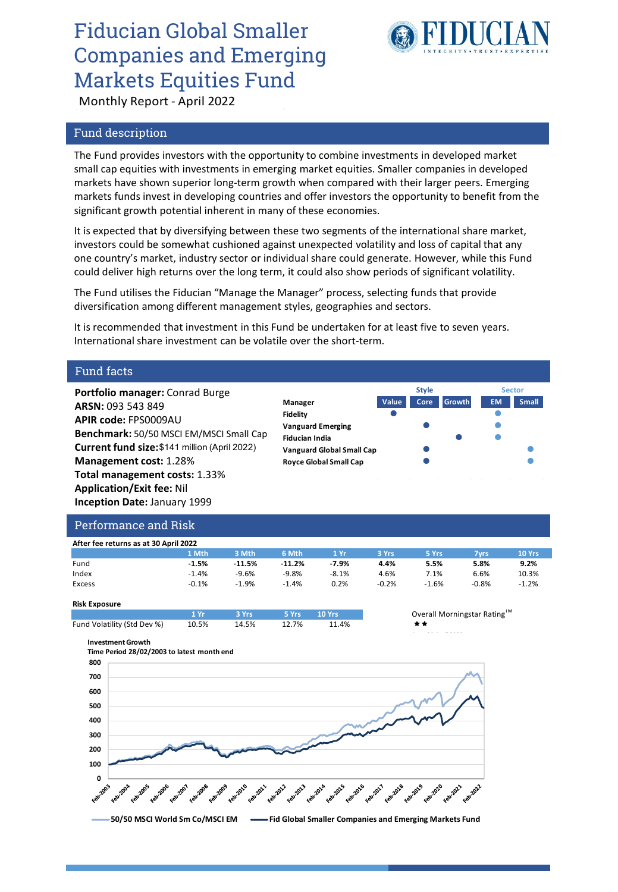# Fiducian Global Smaller Companies and Emerging Markets Equities Fund



Monthly Report - April 2022

# Fund description

The Fund provides investors with the opportunity to combine investments in developed market small cap equities with investments in emerging market equities. Smaller companies in developed markets have shown superior long-term growth when compared with their larger peers. Emerging markets funds invest in developing countries and offer investors the opportunity to benefit from the significant growth potential inherent in many of these economies.

It is expected that by diversifying between these two segments of the international share market, investors could be somewhat cushioned against unexpected volatility and loss of capital that any one country's market, industry sector or individual share could generate. However, while this Fund could deliver high returns over the long term, it could also show periods of significant volatility.

The Fund utilises the Fiducian "Manage the Manager" process, selecting funds that provide diversification among different management styles, geographies and sectors.

It is recommended that investment in this Fund be undertaken for at least five to seven years. International share investment can be volatile over the short-term.

## Fund facts

**Portfolio manager:** Conrad Burge **ARSN:** 093 543 849 **APIR code:** FPS0009AU **Benchmark:** 50/50 MSCI EM/MSCI Small Cap **Current fund size:** \$141 million (April 2022) **Management cost:** 1.28% **Total management costs:** 1.33% **Application/Exit fee:** Nil **Inception Date:** January 1999

|                                  | <b>Style</b> |             |               | <b>Sector</b> |              |  |
|----------------------------------|--------------|-------------|---------------|---------------|--------------|--|
| Manager                          | Value        | <b>Core</b> | <b>Growth</b> | <b>EM</b>     | <b>Small</b> |  |
| <b>Fidelity</b>                  |              |             |               |               |              |  |
| <b>Vanguard Emerging</b>         |              |             |               |               |              |  |
| <b>Fiducian India</b>            |              |             |               |               |              |  |
| <b>Vanguard Global Small Cap</b> |              |             |               |               |              |  |
| <b>Royce Global Small Cap</b>    |              |             |               |               |              |  |
|                                  |              |             |               |               |              |  |

## Performance and Risk

| After fee returns as at 30 April 2022 |         |          |          |         |         |         |         |         |
|---------------------------------------|---------|----------|----------|---------|---------|---------|---------|---------|
|                                       | 1 Mth   | 3 Mth    | 6 Mth    | 1 Yr    | 3 Yrs   | 5 Yrs   | 7vrs    | 10 Yrs  |
| Fund                                  | $-1.5%$ | $-11.5%$ | $-11.2%$ | $-7.9%$ | 4.4%    | 5.5%    | 5.8%    | 9.2%    |
| Index                                 | $-1.4%$ | $-9.6%$  | $-9.8%$  | $-8.1%$ | 4.6%    | 7.1%    | 6.6%    | 10.3%   |
| Excess                                | $-0.1%$ | $-1.9%$  | $-1.4%$  | 0.2%    | $-0.2%$ | $-1.6%$ | $-0.8%$ | $-1.2%$ |

#### **Risk Exposure**

|                             |       | 1 Yr 3 Yrs 5 Yrs 10 Yrs |             |       | Overall Morningstar Rating™ |
|-----------------------------|-------|-------------------------|-------------|-------|-----------------------------|
| Fund Volatility (Std Dev %) | 10.5% |                         | 14.5% 12.7% | 11.4% |                             |

**Investment Growth**